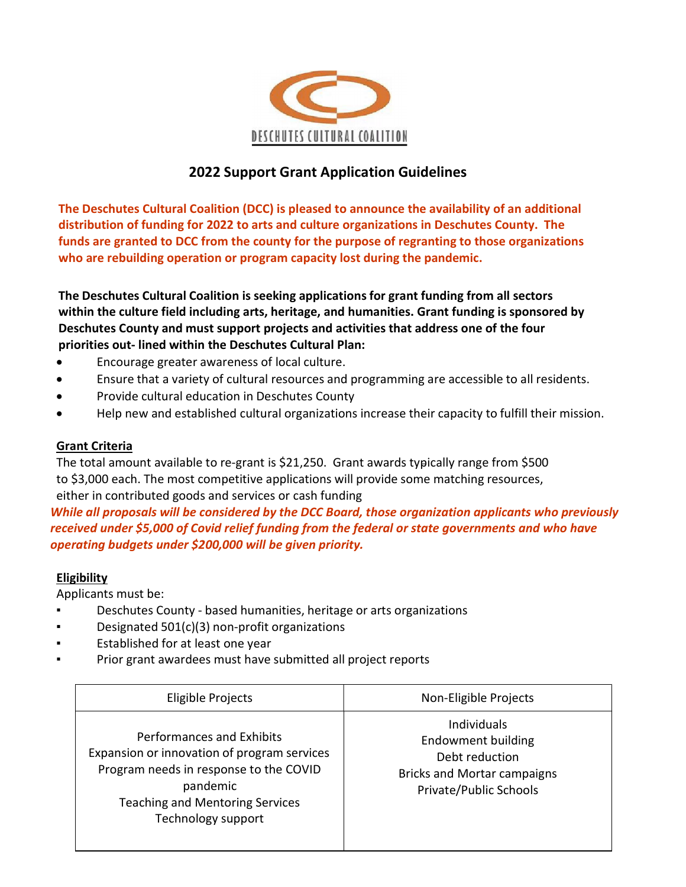

# 2022 Support Grant Application Guidelines

The Deschutes Cultural Coalition (DCC) is pleased to announce the availability of an additional distribution of funding for 2022 to arts and culture organizations in Deschutes County. The funds are granted to DCC from the county for the purpose of regranting to those organizations who are rebuilding operation or program capacity lost during the pandemic.

The Deschutes Cultural Coalition is seeking applications for grant funding from all sectors within the culture field including arts, heritage, and humanities. Grant funding is sponsored by Deschutes County and must support projects and activities that address one of the four priorities out- lined within the Deschutes Cultural Plan:

- Encourage greater awareness of local culture.
- Ensure that a variety of cultural resources and programming are accessible to all residents.
- Provide cultural education in Deschutes County
- Help new and established cultural organizations increase their capacity to fulfill their mission.

## Grant Criteria

The total amount available to re-grant is \$21,250. Grant awards typically range from \$500 to \$3,000 each. The most competitive applications will provide some matching resources, either in contributed goods and services or cash funding

While all proposals will be considered by the DCC Board, those organization applicants who previously received under \$5,000 of Covid relief funding from the federal or state governments and who have operating budgets under \$200,000 will be given priority.

## Eligibility

Applicants must be:

- Deschutes County based humanities, heritage or arts organizations
- Designated  $501(c)(3)$  non-profit organizations
- Established for at least one year
- Prior grant awardees must have submitted all project reports

| Eligible Projects                                                                                                                                                                              | Non-Eligible Projects                                                                                                                    |
|------------------------------------------------------------------------------------------------------------------------------------------------------------------------------------------------|------------------------------------------------------------------------------------------------------------------------------------------|
| Performances and Exhibits<br>Expansion or innovation of program services<br>Program needs in response to the COVID<br>pandemic<br><b>Teaching and Mentoring Services</b><br>Technology support | <b>Individuals</b><br><b>Endowment building</b><br>Debt reduction<br><b>Bricks and Mortar campaigns</b><br><b>Private/Public Schools</b> |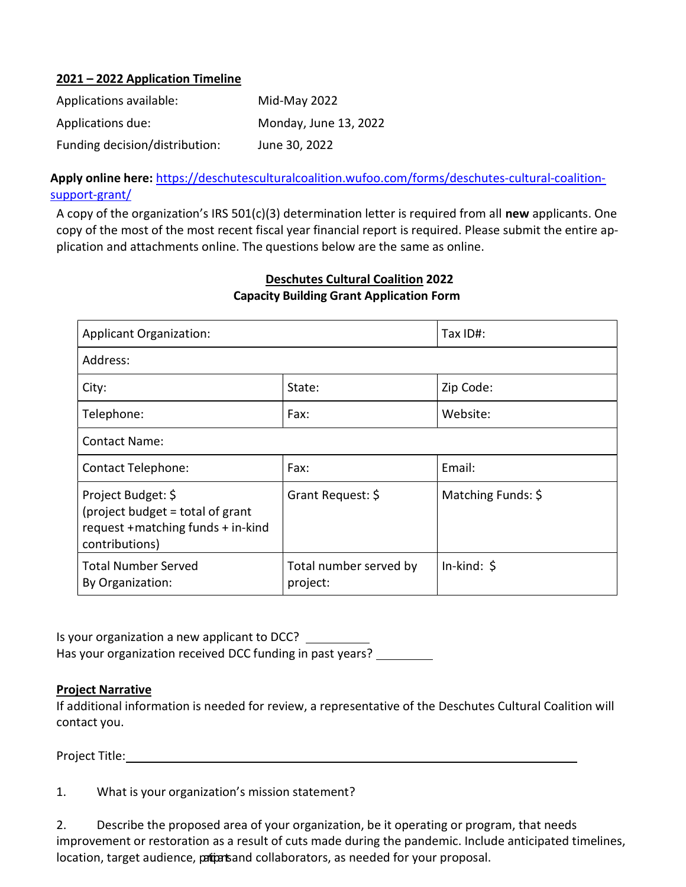#### 2021 – 2022 Application Timeline

| Applications available:        | Mid-May 2022          |
|--------------------------------|-----------------------|
| Applications due:              | Monday, June 13, 2022 |
| Funding decision/distribution: | June 30, 2022         |

Apply online here: https://deschutesculturalcoalition.wufoo.com/forms/deschutes-cultural-coalitionsupport-grant/

A copy of the organization's IRS 501(c)(3) determination letter is required from all new applicants. One copy of the most of the most recent fiscal year financial report is required. Please submit the entire application and attachments online. The questions below are the same as online.

### Deschutes Cultural Coalition 2022 Capacity Building Grant Application Form

| <b>Applicant Organization:</b>                                                                                 |                                    | Tax ID#:            |
|----------------------------------------------------------------------------------------------------------------|------------------------------------|---------------------|
| Address:                                                                                                       |                                    |                     |
| City:                                                                                                          | State:                             | Zip Code:           |
| Telephone:                                                                                                     | Fax:                               | Website:            |
| <b>Contact Name:</b>                                                                                           |                                    |                     |
| <b>Contact Telephone:</b>                                                                                      | Fax:                               | Email:              |
| Project Budget: \$<br>(project budget = total of grant<br>request + matching funds + in-kind<br>contributions) | Grant Request: \$                  | Matching Funds: \$  |
| <b>Total Number Served</b><br>By Organization:                                                                 | Total number served by<br>project: | $In$ -kind: $\oint$ |

Is your organization a new applicant to DCC? Has your organization received DCC funding in past years?

#### Project Narrative

If additional information is needed for review, a representative of the Deschutes Cultural Coalition will contact you.

Project Title:

| 1. | What is your organization's mission statement? |
|----|------------------------------------------------|
|----|------------------------------------------------|

2. Describe the proposed area of your organization, be it operating or program, that needs improvement or restoration as a result of cuts made during the pandemic. Include anticipated timelines, location, target audience, pations and collaborators, as needed for your proposal.